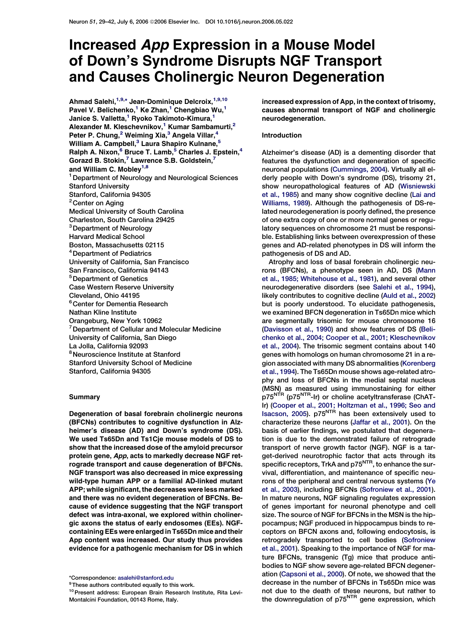## Increased App Expression in a Mouse Model of Down's Syndrome Disrupts NGF Transport and Causes Cholinergic Neuron Degeneration

Ahmad Salehi,<sup>1,9,</sup>\* Jean-Dominique Delcroix,<sup>1,9,10</sup> Pavel V. Belichenko,<sup>1</sup> Ke Zhan,<sup>1</sup> Chengbiao Wu,<sup>1</sup> Janice S. Valletta,<sup>1</sup> Ryoko Takimoto-Kimura,<sup>1</sup> Alexander M. Kleschevnikov,<sup>1</sup> Kumar Sambamurti,<sup>2</sup> Peter P. Chung,<sup>2</sup> Weiming Xia,<sup>3</sup> Angela Villar,<sup>4</sup> William A. Campbell,<sup>3</sup> Laura Shapiro Kulnane,<sup>5</sup> Ralph A. Nixon, $^6$  Bruce T. Lamb, $^5$  Charles J. Epstein, $^4$ Gorazd B. Stokin, $^7$  Lawrence S.B. Goldstein, $^7$ and William C. Mobley<sup>1,8</sup> 1Department of Neurology and Neurological Sciences Stanford University Stanford, California 94305 <sup>2</sup> Center on Aging Medical University of South Carolina Charleston, South Carolina 29425 <sup>3</sup>Department of Neurology Harvard Medical School Boston, Massachusetts 02115 4Department of Pediatrics University of California, San Francisco San Francisco, California 94143 5Department of Genetics Case Western Reserve University Cleveland, Ohio 44195 <sup>6</sup> Center for Dementia Research Nathan Kline Institute Orangeburg, New York 10962 <sup>7</sup> Department of Cellular and Molecular Medicine University of California, San Diego La Jolla, California 92093 <sup>8</sup>Neuroscience Institute at Stanford Stanford University School of Medicine Stanford, California 94305

#### **Summary**

Degeneration of basal forebrain cholinergic neurons (BFCNs) contributes to cognitive dysfunction in Alzheimer's disease (AD) and Down's syndrome (DS). We used Ts65Dn and Ts1Cje mouse models of DS to show that the increased dose of the amyloid precursor protein gene, App, acts to markedly decrease NGF retrograde transport and cause degeneration of BFCNs. NGF transport was also decreased in mice expressing wild-type human APP or a familial AD-linked mutant APP; while significant, the decreases were less marked and there was no evident degeneration of BFCNs. Because of evidence suggesting that the NGF transport defect was intra-axonal, we explored within cholinergic axons the status of early endosomes (EEs). NGFcontaining EEs were enlarged in Ts65Dn mice and their App content was increased. Our study thus provides evidence for a pathogenic mechanism for DS in which

<sup>9</sup>These authors contributed equally to this work.

increased expression of App, in the context of trisomy, causes abnormal transport of NGF and cholinergic neurodegeneration.

## Introduction

Alzheimer's disease (AD) is a dementing disorder that features the dysfunction and degeneration of specific neuronal populations [\(Cummings, 2004\)](#page-11-0). Virtually all elderly people with Down's syndrome (DS), trisomy 21, show neuropathological features of AD [\(Wisniewski](#page-13-0) [et al., 1985](#page-13-0)) and many show cognitive decline ([Lai and](#page-12-0) [Williams, 1989](#page-12-0)). Although the pathogenesis of DS-related neurodegeneration is poorly defined, the presence of one extra copy of one or more normal genes or regulatory sequences on chromosome 21 must be responsible. Establishing links between overexpression of these genes and AD-related phenotypes in DS will inform the pathogenesis of DS and AD.

Atrophy and loss of basal forebrain cholinergic neurons (BFCNs), a phenotype seen in AD, DS [\(Mann](#page-12-0) [et al., 1985; Whitehouse et al., 1981](#page-12-0)), and several other neurodegenerative disorders (see [Salehi et al., 1994](#page-12-0)), likely contributes to cognitive decline ([Auld et al., 2002\)](#page-11-0) but is poorly understood. To elucidate pathogenesis, we examined BFCN degeneration in Ts65Dn mice which are segmentally trisomic for mouse chromosome 16 [\(Davisson et al., 1990\)](#page-12-0) and show features of DS ([Beli](#page-11-0)[chenko et al., 2004; Cooper et al., 2001; Kleschevnikov](#page-11-0) [et al., 2004](#page-11-0)). The trisomic segment contains about 140 genes with homologs on human chromosome 21 in a region associated with many DS abnormalities ([Korenberg](#page-12-0) [et al., 1994\)](#page-12-0). The Ts65Dn mouse shows age-related atrophy and loss of BFCNs in the medial septal nucleus (MSN) as measured using immunostaining for either p75<sup>NTR</sup> (p75<sup>NTR</sup>-Ir) or choline acetyltransferase (ChAT-Ir) ([Cooper et al., 2001; Holtzman et al., 1996; Seo and](#page-11-0) [Isacson, 2005](#page-11-0)). p75NTR has been extensively used to characterize these neurons [\(Jaffar et al., 2001\)](#page-12-0). On the basis of earlier findings, we postulated that degeneration is due to the demonstrated failure of retrograde transport of nerve growth factor (NGF). NGF is a target-derived neurotrophic factor that acts through its specific receptors, TrkA and p75<sup>NTR</sup>, to enhance the survival, differentiation, and maintenance of specific neurons of the peripheral and central nervous systems ([Ye](#page-13-0) [et al., 2003\)](#page-13-0), including BFCNs ([Sofroniew et al., 2001](#page-13-0)). In mature neurons, NGF signaling regulates expression of genes important for neuronal phenotype and cell size. The source of NGF for BFCNs in the MSN is the hippocampus; NGF produced in hippocampus binds to receptors on BFCN axons and, following endocytosis, is retrogradely transported to cell bodies ([Sofroniew](#page-13-0) [et al., 2001\)](#page-13-0). Speaking to the importance of NGF for mature BFCNs, transgenic (Tg) mice that produce antibodies to NGF show severe age-related BFCN degeneration ([Capsoni et al., 2000\)](#page-11-0). Of note, we showed that the decrease in the number of BFCNs in Ts65Dn mice was not due to the death of these neurons, but rather to the downregulation of p75<sup>NTR</sup> gene expression, which

<sup>\*</sup>Correspondence: [asalehi@stanford.edu](mailto:asalehi@stanford.edu)

<sup>10</sup> Present address: European Brain Research Institute, Rita Levi-Montalcini Foundation, 00143 Rome, Italy.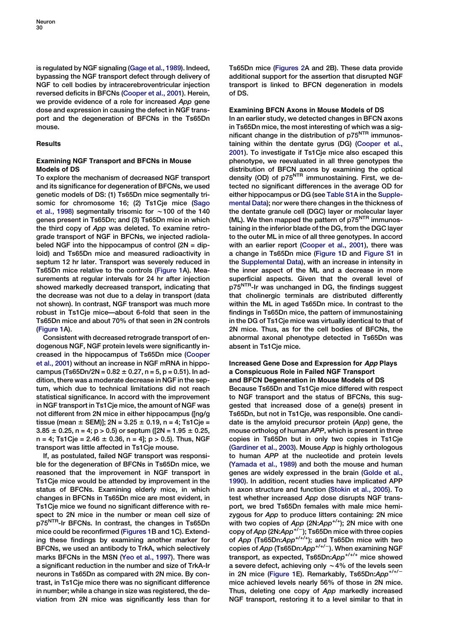is regulated by NGF signaling [\(Gage et al., 1989](#page-12-0)). Indeed, bypassing the NGF transport defect through delivery of NGF to cell bodies by intracerebroventricular injection reversed deficits in BFCNs ([Cooper et al., 2001\)](#page-11-0). Herein, we provide evidence of a role for increased App gene dose and expression in causing the defect in NGF transport and the degeneration of BFCNs in the Ts65Dn mouse.

## Results

## Examining NGF Transport and BFCNs in Mouse Models of DS

To explore the mechanism of decreased NGF transport and its significance for degeneration of BFCNs, we used genetic models of DS: (1) Ts65Dn mice segmentally trisomic for chromosome 16; (2) Ts1Cje mice ([Sago](#page-12-0) [et al., 1998](#page-12-0)) segmentally trisomic for  $\sim$  100 of the 140 genes present in Ts65Dn; and (3) Ts65Dn mice in which the third copy of App was deleted. To examine retrograde transport of NGF in BFCNs, we injected radiolabeled NGF into the hippocampus of control  $(2N = dip$ loid) and Ts65Dn mice and measured radioactivity in septum 12 hr later. Transport was severely reduced in Ts65Dn mice relative to the controls [\(Figure 1A](#page-2-0)). Measurements at regular intervals for 24 hr after injection showed markedly decreased transport, indicating that the decrease was not due to a delay in transport (data not shown). In contrast, NGF transport was much more robust in Ts1Cje mice—about 6-fold that seen in the Ts65Dn mice and about 70% of that seen in 2N controls [\(Figure 1](#page-2-0)A).

Consistent with decreased retrograde transport of endogenous NGF, NGF protein levels were significantly increased in the hippocampus of Ts65Dn mice [\(Cooper](#page-11-0) [et al., 2001\)](#page-11-0) without an increase in NGF mRNA in hippocampus (Ts65Dn/2N =  $0.82 \pm 0.27$ , n = 5, p = 0.51). In addition, there was a moderate decrease in NGF in the septum, which due to technical limitations did not reach statistical significance. In accord with the improvement in NGF transport in Ts1Cje mice, the amount of NGF was not different from 2N mice in either hippocampus ([ng/g tissue (mean  $\pm$  SEM)]; 2N = 3.25  $\pm$  0.19, n = 4; Ts1Cje =  $3.85 \pm 0.25$ , n = 4; p > 0.5) or septum ([2N = 1.95  $\pm$  0.25,  $n = 4$ ; Ts1Cje = 2.46  $\pm$  0.36, n = 4]; p > 0.5). Thus, NGF transport was little affected in Ts1Cje mouse.

If, as postulated, failed NGF transport was responsible for the degeneration of BFCNs in Ts65Dn mice, we reasoned that the improvement in NGF transport in Ts1Cje mice would be attended by improvement in the status of BFCNs. Examining elderly mice, in which changes in BFCNs in Ts65Dn mice are most evident, in Ts1Cje mice we found no significant difference with respect to 2N mice in the number or mean cell size of p75<sup>NTR</sup>-Ir BFCNs. In contrast, the changes in Ts65Dn mice could be reconfirmed [\(Figures 1B](#page-2-0) and 1C). Extending these findings by examining another marker for BFCNs, we used an antibody to TrkA, which selectively marks BFCNs in the MSN [\(Yeo et al., 1997](#page-13-0)). There was a significant reduction in the number and size of TrkA-Ir neurons in Ts65Dn as compared with 2N mice. By contrast, in Ts1Cje mice there was no significant difference in number; while a change in size was registered, the deviation from 2N mice was significantly less than for Ts65Dn mice [\(Figures 2A](#page-3-0) and 2B). These data provide additional support for the assertion that disrupted NGF transport is linked to BFCN degeneration in models of DS.

## Examining BFCN Axons in Mouse Models of DS

In an earlier study, we detected changes in BFCN axons in Ts65Dn mice, the most interesting of which was a significant change in the distribution of  $p75<sup>NTR</sup>$  immunostaining within the dentate gyrus (DG) ([Cooper et al.,](#page-11-0) [2001\)](#page-11-0). To investigate if Ts1Cje mice also escaped this phenotype, we reevaluated in all three genotypes the distribution of BFCN axons by examining the optical density (OD) of p75<sup>NTR</sup> immunostaining. First, we detected no significant differences in the average OD for either hippocampus or DG (see [Table S1A](#page-11-0) in the [Supple](#page-11-0)[mental Data\)](#page-11-0); nor were there changes in the thickness of the dentate granule cell (DGC) layer or molecular layer (ML). We then mapped the pattern of  $p75<sup>NTR</sup>$  immunostaining in the inferior blade of the DG, from the DGC layer to the outer ML in mice of all three genotypes. In accord with an earlier report [\(Cooper et al., 2001\)](#page-11-0), there was a change in Ts65Dn mice [\(Figure 1D](#page-2-0) and [Figure S1](#page-11-0) in the [Supplemental Data\)](#page-11-0), with an increase in intensity in the inner aspect of the ML and a decrease in more superficial aspects. Given that the overall level of p75<sup>NTR</sup>-Ir was unchanged in DG, the findings suggest that cholinergic terminals are distributed differently within the ML in aged Ts65Dn mice. In contrast to the findings in Ts65Dn mice, the pattern of immunostaining in the DG of Ts1Cje mice was virtually identical to that of 2N mice. Thus, as for the cell bodies of BFCNs, the abnormal axonal phenotype detected in Ts65Dn was absent in Ts1Cje mice.

## Increased Gene Dose and Expression for App Plays a Conspicuous Role in Failed NGF Transport and BFCN Degeneration in Mouse Models of DS

Because Ts65Dn and Ts1Cje mice differed with respect to NGF transport and the status of BFCNs, this suggested that increased dose of a gene(s) present in Ts65Dn, but not in Ts1Cje, was responsible. One candidate is the amyloid precursor protein (App) gene, the mouse ortholog of human APP, which is present in three copies in Ts65Dn but in only two copies in Ts1Cje [\(Gardiner et al., 2003](#page-12-0)). Mouse App is highly orthologous to human APP at the nucleotide and protein levels [\(Yamada et al., 1989\)](#page-13-0) and both the mouse and human genes are widely expressed in the brain [\(Golde et al.,](#page-12-0) [1990\)](#page-12-0). In addition, recent studies have implicated APP in axon structure and function ([Stokin et al., 2005](#page-13-0)). To test whether increased App dose disrupts NGF transport, we bred Ts65Dn females with male mice hemizygous for App to produce litters containing: 2N mice with two copies of  $App (2N:App<sup>+/-</sup>)$ ; 2N mice with one copy of App  $(2N:App<sup>+/-</sup>)$ ; Ts65Dn mice with three copies of App  $(Ts65Dn:App^{+/+/+})$ ; and Ts65Dn mice with two copies of App (Ts65Dn:App<sup>+/+/-</sup>). When examining NGF transport, as expected,  $Ts65Dn:App<sup>+/++</sup>$  mice showed a severe defect, achieving only  $\sim$  4% of the levels seen in 2N mice [\(Figure 1](#page-2-0)E). Remarkably, Ts65Dn:App<sup>+/+/-</sup> mice achieved levels nearly 56% of those in 2N mice. Thus, deleting one copy of App markedly increased NGF transport, restoring it to a level similar to that in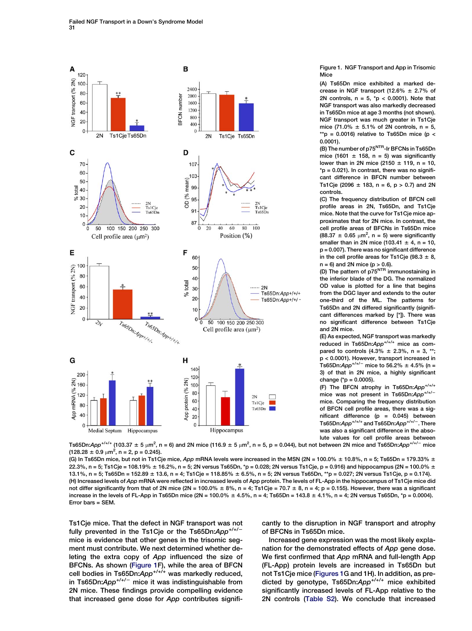<span id="page-2-0"></span>

Figure 1. NGF Transport and App in Trisomic Mice

(A) Ts65Dn mice exhibited a marked decrease in NGF transport  $(12.6% + 2.7% )$  of 2N controls,  $n = 5$ ,  $p < 0.0001$ ). Note that NGF transport was also markedly decreased in Ts65Dn mice at age 3 months (not shown). NGF transport was much greater in Ts1Cje mice (71.0%  $\pm$  5.1% of 2N controls, n = 5, \*\*p = 0.0016) relative to Ts65Dn mice (p < 0.0001).

(B) The number of p75<sup>NTR</sup>-Ir BFCNs in Ts65Dn mice (1601  $\pm$  158, n = 5) was significantly lower than in 2N mice (2150  $\pm$  119, n = 10,  $*$ p = 0.021). In contrast, there was no significant difference in BFCN number between Ts1Cje (2096  $\pm$  183, n = 6, p > 0.7) and 2N controls.

(C) The frequency distribution of BFCN cell profile areas in 2N, Ts65Dn, and Ts1Cje mice. Note that the curve for Ts1Cje mice approximates that for 2N mice. In contrast, the cell profile areas of BFCNs in Ts65Dn mice  $(88.37 \pm 0.65 \mu m^2, n = 5)$  were significantly smaller than in 2N mice (103.41  $\pm$  4, n = 10, p = 0.007). There was no significant difference in the cell profile areas for Ts1Cje (98.3  $\pm$  8, n = 6) and 2N mice (p > 0.6).<br>(D) The pattern of p75<sup>NTR</sup> immunostaining in

the inferior blade of the DG. The normalized OD value is plotted for a line that begins from the DGC layer and extends to the outer one-third of the ML. The patterns for Ts65Dn and 2N differed significantly (significant differences marked by [\*]). There was no significant difference between Ts1Cje and 2N mice.

(E) As expected, NGF transport was markedly reduced in Ts65Dn:App+/+/+ mice as compared to controls  $(4.3\% \pm 2.3\%, n = 3, **;$ p < 0.0001). However, transport increased in Ts65Dn: $App^{+/+/-}$  mice to 56.2%  $\pm$  4.5% (n = 3) of that in 2N mice, a highly significant change (\*p = 0.0005).

(F) The BFCN atrophy in Ts65Dn: $App<sup>+/+/+</sup>$ mice was not present in Ts65Dn: $App^{+/+/-}$ mice. Comparing the frequency distribution of BFCN cell profile areas, there was a significant difference  $(p = 0.045)$  between Ts65Dn: $App$ <sup>+/+/+</sup> and Ts65Dn: $App$ <sup>+/+/-</sup>. There was also a significant difference in the absolute values for cell profile areas between

Ts65Dn:App\*/\*/\* (103.37  $\pm$  5  $\mu$ m<sup>2</sup>, n = 6) and 2N mice (116.9  $\pm$  5  $\mu$ m $^2$ , n = 5, p = 0.044), but not between 2N mice and Ts65Dn:App\*/\*/<sup>~</sup> mice  $(128.28 \pm 0.9 \mu m^2, n = 2, p = 0.245).$ 

(G) In Ts65Dn mice, but not in Ts1Cje mice, App mRNA levels were increased in the MSN (2N = 100.0%  $\pm$  10.8%, n = 5; Ts65Dn = 179.33%  $\pm$ 22.3%, n = 5; Ts1Cje = 108.19% ± 16.2%, n = 5; 2N versus Ts65Dn, \*p = 0.028; 2N versus Ts1Cje, p = 0.916) and hippocampus (2N = 100.0% ±  $13.1\%$ , n = 5; Ts65Dn = 152.89 ± 13.6, n = 4; Ts1Cje = 118.85% ± 6.5%, n = 5; 2N versus Ts65Dn, \*\*p = 0.027; 2N versus Ts1Cje, p = 0.174). (H) Increased levels of App mRNA were reflected in increased levels of App protein. The levels of FL-App in the hippocampus of Ts1Cje mice did not differ significantly from that of 2N mice (2N = 100.0%  $\pm$  8%, n = 4; Ts1Cje = 70.7  $\pm$  8, n = 4; p = 0.155). However, there was a significant increase in the levels of FL-App in Ts65Dn mice  $(2N = 100.0\% \pm 4.5\%, n = 4;$  Ts65Dn = 143.8  $\pm$  4.1%, n = 4; 2N versus Ts65Dn, \*p = 0.0004). Error bars = SEM.

Ts1Cje mice. That the defect in NGF transport was not fully prevented in the Ts1Cje or the Ts65Dn: $App<sup>+/+/</sup>$ mice is evidence that other genes in the trisomic segment must contribute. We next determined whether deleting the extra copy of App influenced the size of BFCNs. As shown (Figure 1F), while the area of BFCN cell bodies in Ts65Dn: $App^{+/+/+}$  was markedly reduced, in Ts65Dn: $App^{+/+/-}$  mice it was indistinguishable from 2N mice. These findings provide compelling evidence that increased gene dose for App contributes significantly to the disruption in NGF transport and atrophy of BFCNs in Ts65Dn mice.

Increased gene expression was the most likely explanation for the demonstrated effects of App gene dose. We first confirmed that App mRNA and full-length App (FL-App) protein levels are increased in Ts65Dn but not Ts1Cje mice (Figures 1G and 1H). In addition, as predicted by genotype, Ts65Dn:App<sup>+/+/+</sup> mice exhibited significantly increased levels of FL-App relative to the 2N controls ([Table S2](#page-11-0)). We conclude that increased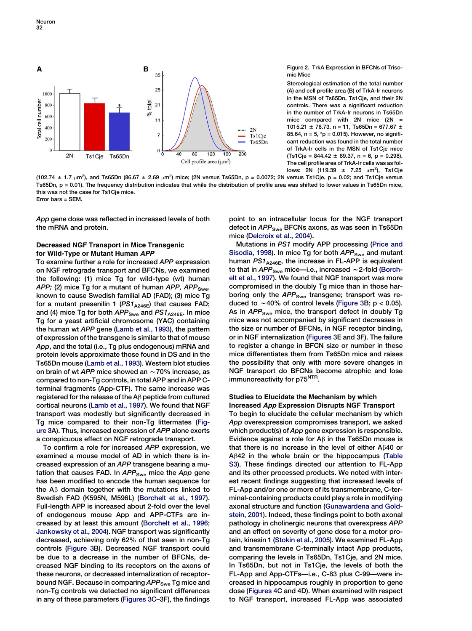<span id="page-3-0"></span>

Figure 2. TrkA Expression in BFCNs of Trisomic Mice

Stereological estimation of the total number (A) and cell profile area (B) of TrkA-Ir neurons in the MSN of Ts65Dn, Ts1Cje, and their 2N controls. There was a significant reduction in the number of TrkA-Ir neurons in Ts65Dn mice compared with 2N mice  $(2N =$ 1015.21  $\pm$  76.73, n = 11, Ts65Dn = 677.67  $\pm$ 85.64,  $n = 5$ ,  $np = 0.015$ ). However, no significant reduction was found in the total number of TrkA-Ir cells in the MSN of Ts1Cje mice  $(Ts1Cje = 844.42 \pm 89.37, n = 6, p = 0.298).$ The cell profile area of TrkA-Ir cells was as follows: 2N (119.39  $\pm$  7.25  $\mu$ m<sup>2</sup>), Ts1Cje

(102.74  $\pm$  1.7  $\mu$ m<sup>2</sup>), and Ts65Dn (86.67  $\pm$  2.69  $\mu$ m $^2$ ) mice; (2N versus Ts65Dn, p = 0.0072; 2N versus Ts1Cje, p = 0.02; and Ts1Cje versus Ts65Dn, p = 0.01). The frequency distribution indicates that while the distribution of profile area was shifted to lower values in Ts65Dn mice, this was not the case for Ts1Cje mice. Error bars = SEM.

App gene dose was reflected in increased levels of both the mRNA and protein.

## Decreased NGF Transport in Mice Transgenic for Wild-Type or Mutant Human APP

To examine further a role for increased APP expression on NGF retrograde transport and BFCNs, we examined the following: (1) mice Tg for wild-type (wt) human APP; (2) mice Tg for a mutant of human APP, APP<sub>Swe</sub>, known to cause Swedish familial AD (FAD); (3) mice Tg for a mutant presenilin 1 ( $PS1_{A246E}$ ) that causes FAD; and (4) mice Tg for both  $APP<sub>Swe</sub>$  and  $PS1<sub>A246E</sub>$ . In mice Tg for a yeast artificial chromosome (YAC) containing the human wt APP gene ([Lamb et al., 1993](#page-12-0)), the pattern of expression of the transgene is similar to that of mouse App, and the total (i.e., Tg plus endogenous) mRNA and protein levels approximate those found in DS and in the Ts65Dn mouse ([Lamb et al., 1993](#page-12-0)). Western blot studies on brain of wt APP mice showed an  $\sim$  70% increase, as compared to non-Tg controls, in total APP and in APP Cterminal fragments (App-CTF). The same increase was registered for the release of the  $A\beta$  peptide from cultured cortical neurons [\(Lamb et al., 1997\)](#page-12-0). We found that NGF transport was modestly but significantly decreased in Tg mice compared to their non-Tg littermates ([Fig](#page-4-0)[ure 3](#page-4-0)A). Thus, increased expression of APP alone exerts a conspicuous effect on NGF retrograde transport.

To confirm a role for increased APP expression, we examined a mouse model of AD in which there is increased expression of an APP transgene bearing a mutation that causes FAD. In  $APP<sub>Swe</sub>$  mice the App gene has been modified to encode the human sequence for the  $A\beta$  domain together with the mutations linked to Swedish FAD (K595N, M596L) ([Borchelt et al., 1997](#page-11-0)). Full-length APP is increased about 2-fold over the level of endogenous mouse App and APP-CTFs are increased by at least this amount [\(Borchelt et al., 1996;](#page-11-0) [Jankowsky et al., 2004](#page-11-0)). NGF transport was significantly decreased, achieving only 62% of that seen in non-Tg controls [\(Figure 3](#page-4-0)B). Decreased NGF transport could be due to a decrease in the number of BFCNs, decreased NGF binding to its receptors on the axons of these neurons, or decreased internalization of receptorbound NGF. Because in comparing APP<sub>Swe</sub> Tg mice and non-Tg controls we detected no significant differences in any of these parameters [\(Figures 3C](#page-4-0)–3F), the findings point to an intracellular locus for the NGF transport defect in  $APP<sub>Swe</sub>$  BFCNs axons, as was seen in Ts65Dn mice ([Delcroix et al., 2004\)](#page-12-0).

Mutations in PS1 modify APP processing ([Price and](#page-12-0) [Sisodia, 1998\)](#page-12-0). In mice Tg for both APP<sub>Swe</sub> and mutant human  $PS1_{A246E}$ , the increase in FL-APP is equivalent to that in  $APP_{Swe}$  mice—i.e., increased ~2-fold [\(Borch](#page-11-0)[elt et al., 1997](#page-11-0)). We found that NGF transport was more compromised in the doubly Tg mice than in those harboring only the  $APP<sub>Swe</sub>$  transgene; transport was reduced to  $\sim$  40% of control levels [\(Figure 3](#page-4-0)B; p < 0.05). As in APP<sub>Swe</sub> mice, the transport defect in doubly Tg mice was not accompanied by significant decreases in the size or number of BFCNs, in NGF receptor binding, or in NGF internalization [\(Figures 3E](#page-4-0) and 3F). The failure to register a change in BFCN size or number in these mice differentiates them from Ts65Dn mice and raises the possibility that only with more severe changes in NGF transport do BFCNs become atrophic and lose immunoreactivity for p75<sup>NTR</sup>.

## Studies to Elucidate the Mechanism by which Increased App Expression Disrupts NGF Transport

To begin to elucidate the cellular mechanism by which App overexpression compromises transport, we asked which product(s) of App gene expression is responsible. Evidence against a role for  $A\beta$  in the Ts65Dn mouse is that there is no increase in the level of either  $A\beta 40$  or  $A\beta42$  in the whole brain or the hippocampus ([Table](#page-11-0) [S3](#page-11-0)). These findings directed our attention to FL-App and its other processed products. We noted with interest recent findings suggesting that increased levels of FL-App and/or one or more of its transmembrane, C-terminal-containing products could play a role in modifying axonal structure and function [\(Gunawardena and Gold](#page-12-0)[stein, 2001](#page-12-0)). Indeed, these findings point to both axonal pathology in cholinergic neurons that overexpress APP and an effect on severity of gene dose for a motor protein, kinesin 1 ([Stokin et al., 2005\)](#page-13-0). We examined FL-App and transmembrane C-terminally intact App products, comparing the levels in Ts65Dn, Ts1Cje, and 2N mice. In Ts65Dn, but not in Ts1Cje, the levels of both the FL-App and App-CTFs—i.e., C-83 plus C-99—were increased in hippocampus roughly in proportion to gene dose ([Figures 4C](#page-5-0) and 4D). When examined with respect to NGF transport, increased FL-App was associated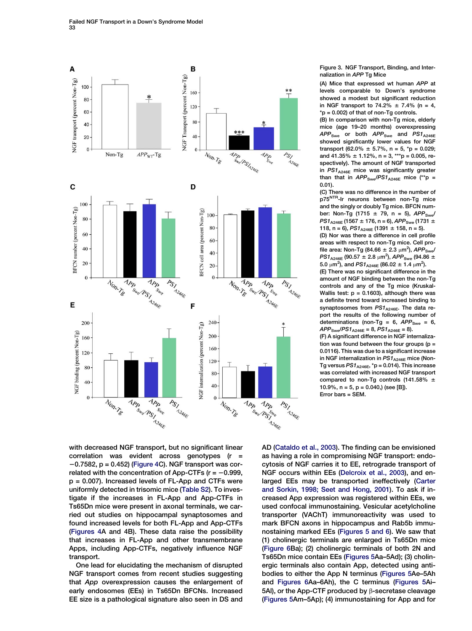<span id="page-4-0"></span>

Figure 3. NGF Transport, Binding, and Internalization in APP Tg Mice

(A) Mice that expressed wt human APP at levels comparable to Down's syndrome showed a modest but significant reduction in NGF transport to 74.2%  $\pm$  7.4% (n = 4,  $*$ p = 0.002) of that of non-Tg controls.

(B) In comparison with non-Tg mice, elderly mice (age 19–20 months) overexpressing  $APP<sub>Swe</sub>$  or both  $APP<sub>Swe</sub>$  and  $PS1<sub>A246E</sub>$ showed significantly lower values for NGF transport (62.0%  $\pm$  5.7%, n = 5, \*p = 0.029; and 41.35%  $\pm$  1.12%, n = 3, \*\*\*p = 0.005, respectively). The amount of NGF transported in  $PS1_{A246E}$  mice was significantly greater than that in  $APP<sub>Swe</sub>/PS1<sub>A246E</sub>$  mice (\*\*p = 0.01).

(C) There was no difference in the number of p75<sup>NTR</sup>-Ir neurons between non-Tg mice and the singly or doubly Tg mice. BFCN number: Non-Tg (1715  $\pm$  79, n = 5), APP<sub>Swe</sub>/  $PS1_{A246E}$  (1567 ± 176, n = 6), APP<sub>Swe</sub> (1731 ± 118, n = 6),  $PS1_{A246E}$  (1391  $\pm$  158, n = 5).

(D) Nor was there a difference in cell profile areas with respect to non-Tg mice. Cell profile area: Non-Tg (84.66  $\pm$  2.3  $\mu$ m<sup>2</sup>), APP<sub>Swe</sub>/  $PS1_{A246E}$  (90.57  $\pm$  2.8  $\mu$ m<sup>2</sup>), APP<sub>Swe</sub> (94.86  $\pm$ 5.0  $\mu$ m<sup>2</sup>), and PS1<sub>A246E</sub> (86.02  $\pm$  1.4  $\mu$ m<sup>2</sup>).

(E) There was no significant difference in the amount of NGF binding between the non-Tg controls and any of the Tg mice (Kruskal-Wallis test:  $p = 0.1603$ ), although there was a definite trend toward increased binding to synaptosomes from  $PS1_{A246E}$ . The data report the results of the following number of determinations (non-Tg =  $6$ ,  $\overline{APP}_{Swe}$  =  $6$ ,  $APP<sub>Swe</sub>/PS1<sub>A246E</sub> = 8, PS1<sub>A246E</sub> = 8).$ 

(F) A significant difference in NGF internalization was found between the four groups ( $p =$ 0.0116). This was due to a significant increase in NGF internalization in  $PS1_{A246E}$  mice (Non-Tg versus  $PS1_{A246E}$ , \*p = 0.014). This increase was correlated with increased NGF transport compared to non-Tg controls (141.58%  $\pm$ 10.9%,  $n = 5$ ,  $p = 0.040$ ,) (see [B]). Error bars = SEM.

with decreased NGF transport, but no significant linear correlation was evident across genotypes (r =  $-0.7582$ , p = 0.452) [\(Figure 4C](#page-5-0)). NGF transport was correlated with the concentration of App-CTFs ( $r = -0.999$ , p = 0.007). Increased levels of FL-App and CTFs were uniformly detected in trisomic mice [\(Table S2\)](#page-11-0). To investigate if the increases in FL-App and App-CTFs in Ts65Dn mice were present in axonal terminals, we carried out studies on hippocampal synaptosomes and found increased levels for both FL-App and App-CTFs [\(Figures 4A](#page-5-0) and 4B). These data raise the possibility that increases in FL-App and other transmembrane Apps, including App-CTFs, negatively influence NGF transport.

One lead for elucidating the mechanism of disrupted NGF transport comes from recent studies suggesting that App overexpression causes the enlargement of early endosomes (EEs) in Ts65Dn BFCNs. Increased EE size is a pathological signature also seen in DS and AD [\(Cataldo et al., 2003](#page-11-0)). The finding can be envisioned as having a role in compromising NGF transport: endocytosis of NGF carries it to EE, retrograde transport of NGF occurs within EEs [\(Delcroix et al., 2003](#page-12-0)), and enlarged EEs may be transported ineffectively ([Carter](#page-11-0) [and Sorkin, 1998; Seet and Hong, 2001\)](#page-11-0). To ask if increased App expression was registered within EEs, we used confocal immunostaining. Vesicular acetylcholine transporter (VAChT) immunoreactivity was used to mark BFCN axons in hippocampus and Rab5b immunostaining marked EEs [\(Figures 5 and 6\)](#page-6-0). We saw that (1) cholinergic terminals are enlarged in Ts65Dn mice [\(Figure 6](#page-7-0)Ba); (2) cholinergic terminals of both 2N and Ts65Dn mice contain EEs ([Figures 5](#page-6-0)Aa–5Ad); (3) cholinergic terminals also contain App, detected using antibodies to either the App N terminus [\(Figures 5](#page-6-0)Ae–5Ah and [Figures 6](#page-7-0)Aa–6Ah), the C terminus ([Figures 5](#page-6-0)Ai– 5Al), or the App-CTF produced by  $\beta$ -secretase cleavage [\(Figures 5](#page-6-0)Am–5Ap); (4) immunostaining for App and for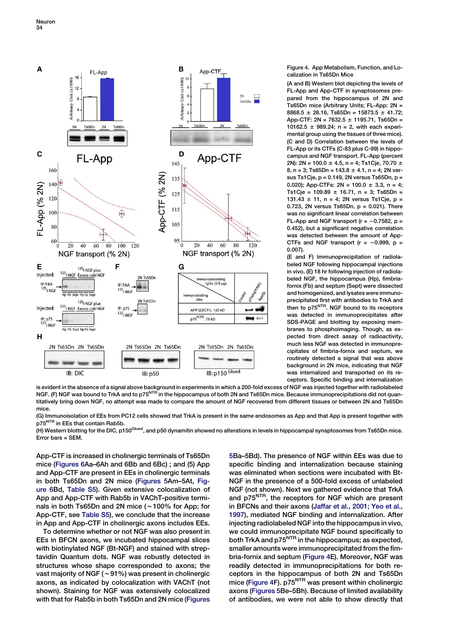<span id="page-5-0"></span>

Figure 4. App Metabolism, Function, and Localization in Ts65Dn Mice

(A and B) Western blot depicting the levels of FL-App and App-CTF in synaptosomes prepared from the hippocampus of 2N and Ts65Dn mice (Arbitrary Units; FL-App: 2N = 8868.5  $\pm$  26.16, Ts65Dn = 15873.5  $\pm$  41.72; App-CTF: 2N =  $7632.5 \pm 1195.71$ , Ts65Dn = 10162.5  $\pm$  989.24; n = 2, with each experimental group using the tissues of three mice). (C and D) Correlation between the levels of FL-App or its CTFs (C-83 plus C-99) in hippocampus and NGF transport. FL-App (percent 2N): 2N = 100.0  $\pm$  4.5, n = 4; Ts1Cje, 70.70  $\pm$ 8, n = 3; Ts65Dn =  $143.8 \pm 4.1$ , n = 4; 2N versus Ts1Cje, p = 0.149, 2N versus Ts65Dn, p = 0.020); App-CTFs:  $2N = 100.0 \pm 3.3$ , n = 4; Ts1Cje =  $109.89 \pm 16.71$ , n = 3; Ts65Dn =  $131.43 \pm 11$ , n = 4; 2N versus Ts1Cje, p = 0.723, 2N versus Ts65Dn,  $p = 0.021$ ). There was no significant linear correlation between FL-App and NGF transport ( $r = -0.7582$ , p = 0.452), but a significant negative correlation was detected between the amount of App-CTFs and NGF transport ( $r = -0.999$ ,  $p =$ 0.007).

(E and F) Immunoprecipitation of radiolabeled NGF following hippocampal injections in vivo. (E) 18 hr following injection of radiolabeled NGF, the hippocampus (Hp), fimbriafornix (Fb) and septum (Sept) were dissected and homogenized, and lysates were immunoprecipitated first with antibodies to TrkA and then to p75<sup>NTR</sup>. NGF bound to its receptors was detected in immunoprecipitates after SDS-PAGE and blotting by exposing membranes to phosphoimaging. Though, as expected from direct assay of radioactivity, much less NGF was detected in immunoprecipitates of fimbria-fornix and septum, we routinely detected a signal that was above background in 2N mice, indicating that NGF was internalized and transported on its receptors. Specific binding and internalization

is evident in the absence of a signal above background in experiments in which a 200-fold excess of NGF was injected together with radiolabeled NGF. (F) NGF was bound to TrkA and to p75<sup>NTR</sup> in the hippocampus of both 2N and Ts65Dn mice. Because immunoprecipitations did not quantitatively bring down NGF, no attempt was made to compare the amount of NGF recovered from different tissues or between 2N and Ts65Dn mice.

(G) Immunoisolation of EEs from PC12 cells showed that TrkA is present in the same endosomes as App and that App is present together with p75<sup>NTR</sup> in EEs that contain Rab5b.

.<br>(H) Western blotting for the DIC, p150<sup>Glued</sup>, and p50 dynamitin showed no alterations in levels in hippocampal synaptosomes from Ts65Dn mice. Error bars = SEM.

App-CTF is increased in cholinergic terminals of Ts65Dn mice ([Figures 6A](#page-7-0)a–6Ah and 6Bb and 6Bc) ; and (5) App and App-CTF are present in EEs in cholinergic terminals in both Ts65Dn and 2N mice [\(Figures 5](#page-6-0)Am–5At, [Fig](#page-7-0)[ure 6](#page-7-0)Bd, [Table S5](#page-11-0)). Given extensive colocalization of App and App-CTF with Rab5b in VAChT-positive terminals in both Ts65Dn and 2N mice ( $\sim$ 100% for App; for App-CTF, see [Table S5\)](#page-11-0), we conclude that the increase in App and App-CTF in cholinergic axons includes EEs.

To determine whether or not NGF was also present in EEs in BFCN axons, we incubated hippocampal slices with biotinylated NGF (Bt-NGF) and stained with streptavidin Quantum dots. NGF was robustly detected in structures whose shape corresponded to axons; the vast majority of NGF ( $\sim$  91%) was present in cholinergic axons, as indicated by colocalization with VAChT (not shown). Staining for NGF was extensively colocalized with that for Rab5b in both Ts65Dn and 2N mice [\(Figures](#page-6-0)

[5B](#page-6-0)a–5Bd). The presence of NGF within EEs was due to specific binding and internalization because staining was eliminated when sections were incubated with Bt-NGF in the presence of a 500-fold excess of unlabeled NGF (not shown). Next we gathered evidence that TrkA and p75<sup>NTR</sup>, the receptors for NGF which are present in BFCNs and their axons ([Jaffar et al., 2001; Yeo et al.,](#page-12-0) [1997\)](#page-12-0), mediated NGF binding and internalization. After injecting radiolabeled NGF into the hippocampus in vivo, we could immunoprecipitate NGF bound specifically to both TrkA and  $p75<sup>NTR</sup>$  in the hippocampus; as expected, smaller amounts were immunoprecipitated from the fimbria-fornix and septum (Figure 4E). Moreover, NGF was readily detected in immunoprecipitations for both receptors in the hippocampus of both 2N and Ts65Dn mice (Figure  $4F$ ). p75<sup>NTR</sup> was present within cholinergic axons ([Figures 5B](#page-6-0)e–5Bh). Because of limited availability of antibodies, we were not able to show directly that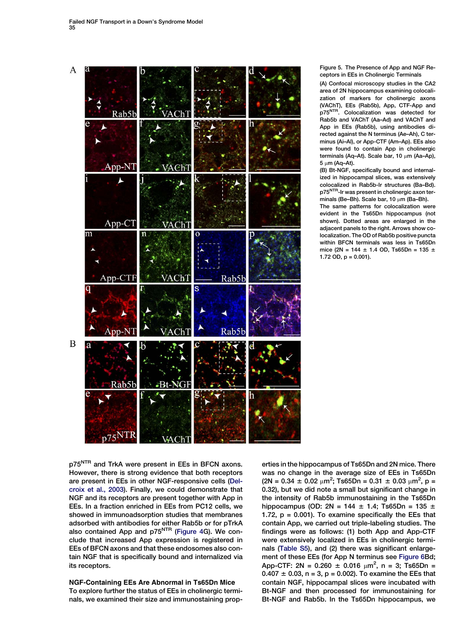<span id="page-6-0"></span>

Figure 5. The Presence of App and NGF Receptors in EEs in Cholinergic Terminals

(A) Confocal microscopy studies in the CA2 area of 2N hippocampus examining colocalization of markers for cholinergic axons (VAChT), EEs (Rab5b), App, CTF-App and p75<sup>NTR.</sup> Colocalization was detected for Rab5b and VAChT (Aa–Ad) and VAChT and App in EEs (Rab5b), using antibodies directed against the N terminus (Ae–Ah), C terminus (Ai–Al), or App-CTF (Am–Ap). EEs also were found to contain App in cholinergic terminals (Aq–At). Scale bar, 10  $\mu$ m (Aa–Ap),  $5 \mu m$  (Aq-At).

(B) Bt-NGF, specifically bound and internalized in hippocampal slices, was extensively colocalized in Rab5b-Ir structures (Ba–Bd). p75<sup>NTR</sup>-Ir was present in cholinergic axon terminals (Be-Bh). Scale bar, 10  $\mu$ m (Ba-Bh).

The same patterns for colocalization were evident in the Ts65Dn hippocampus (not shown). Dotted areas are enlarged in the adjacent panels to the right. Arrows show colocalization. The OD of Rab5b positive puncta within BFCN terminals was less in Ts65Dn mice (2N = 144  $\pm$  1.4 OD, Ts65Dn = 135  $\pm$ 1.72 OD, p = 0.001).

p75<sup>NTR</sup> and TrkA were present in EEs in BFCN axons. However, there is strong evidence that both receptors are present in EEs in other NGF-responsive cells ([Del](#page-12-0)[croix et al., 2003](#page-12-0)). Finally, we could demonstrate that NGF and its receptors are present together with App in EEs. In a fraction enriched in EEs from PC12 cells, we showed in immunoadsorption studies that membranes adsorbed with antibodies for either Rab5b or for pTrkA also contained App and  $p75<sup>NTR</sup>$  [\(Figure 4](#page-5-0)G). We conclude that increased App expression is registered in EEs of BFCN axons and that these endosomes also contain NGF that is specifically bound and internalized via its receptors.

## NGF-Containing EEs Are Abnormal in Ts65Dn Mice To explore further the status of EEs in cholinergic terminals, we examined their size and immunostaining prop-

erties in the hippocampus of Ts65Dn and 2N mice. There was no change in the average size of EEs in Ts65Dn  $(2N = 0.34 \pm 0.02 \mu m^2)$ ; Ts65Dn = 0.31  $\pm$  0.03  $\mu m^2$ , p = 0.32), but we did note a small but significant change in the intensity of Rab5b immunostaining in the Ts65Dn hippocampus (OD: 2N = 144  $\pm$  1.4; Ts65Dn = 135  $\pm$ 1.72,  $p = 0.001$ ). To examine specifically the EEs that contain App, we carried out triple-labeling studies. The findings were as follows: (1) both App and App-CTF were extensively localized in EEs in cholinergic terminals ([Table S5\)](#page-11-0), and (2) there was significant enlargement of these EEs (for App N terminus see [Figure 6](#page-7-0)Bd; App-CTF: 2N =  $0.260 \pm 0.016 \mu m^2$ , n = 3; Ts65Dn =  $0.407 \pm 0.03$ , n = 3, p = 0.002). To examine the EEs that contain NGF, hippocampal slices were incubated with Bt-NGF and then processed for immunostaining for Bt-NGF and Rab5b. In the Ts65Dn hippocampus, we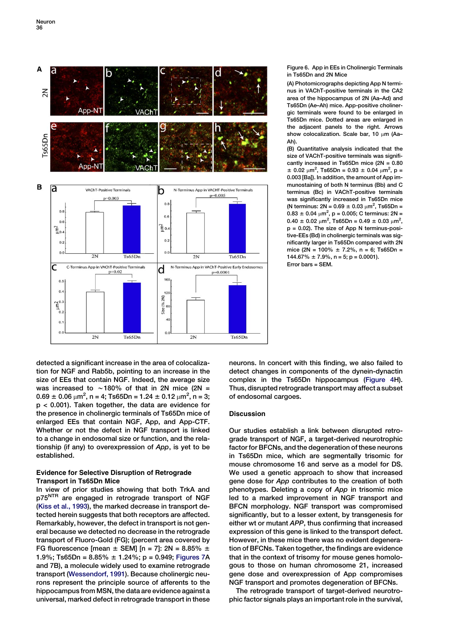<span id="page-7-0"></span>

Figure 6. App in EEs in Cholinergic Terminals in Ts65Dn and 2N Mice

(A) Photomicrographs depicting App N terminus in VAChT-positive terminals in the CA2 area of the hippocampus of 2N (Aa–Ad) and Ts65Dn (Ae–Ah) mice. App-positive cholinergic terminals were found to be enlarged in Ts65Dn mice. Dotted areas are enlarged in the adjacent panels to the right. Arrows show colocalization. Scale bar, 10  $\mu$ m (Aa-Ah).

(B) Quantitative analysis indicated that the size of VAChT-positive terminals was significantly increased in Ts65Dn mice (2N = 0.80  $\pm$  0.02  $\mu$ m<sup>2</sup>, Ts65Dn = 0.93  $\pm$  0.04  $\mu$ m<sup>2</sup>, p = 0.003 [Ba]). In addition, the amount of App immunostaining of both N terminus (Bb) and C terminus (Bc) in VAChT-positive terminals was significantly increased in Ts65Dn mice (N terminus:  $2N = 0.69 \pm 0.03 \mu m^2$ , Ts65Dn =  $0.83 \pm 0.04 \mu m^2$ , p = 0.005; C terminus: 2N =  $0.40 \pm 0.02 \mu m^2$ , Ts65Dn =  $0.49 \pm 0.03 \mu m^2$ , p = 0.02). The size of App N terminus-positive-EEs (Bd) in cholinergic terminals was significantly larger in Ts65Dn compared with 2N mice (2N = 100%  $\pm$  7.2%, n = 6; Ts65Dn =  $144.67\% \pm 7.9\%, n = 5; p = 0.0001$ ). Error bars = SEM.

detected a significant increase in the area of colocalization for NGF and Rab5b, pointing to an increase in the size of EEs that contain NGF. Indeed, the average size was increased to  $\sim$  180% of that in 2N mice (2N =  $0.69 \pm 0.06 \mu m^2$ , n = 4; Ts65Dn = 1.24  $\pm$  0.12  $\mu m^2$ , n = 3; p < 0.001). Taken together, the data are evidence for the presence in cholinergic terminals of Ts65Dn mice of enlarged EEs that contain NGF, App, and App-CTF. Whether or not the defect in NGF transport is linked to a change in endosomal size or function, and the relationship (if any) to overexpression of App, is yet to be established.

## Evidence for Selective Disruption of Retrograde Transport in Ts65Dn Mice

In view of prior studies showing that both TrkA and p75<sup>NTR</sup> are engaged in retrograde transport of NGF [\(Kiss et al., 1993](#page-12-0)), the marked decrease in transport detected herein suggests that both receptors are affected. Remarkably, however, the defect in transport is not general because we detected no decrease in the retrograde transport of Fluoro-Gold (FG); (percent area covered by FG fluorescence [mean  $\pm$  SEM] [n = 7]: 2N = 8.85%  $\pm$ 1.9%; Ts65Dn =  $8.85\% \pm 1.24\%$ ; p = 0.949; [Figures 7A](#page-8-0) and 7B), a molecule widely used to examine retrograde transport [\(Wessendorf, 1991](#page-13-0)). Because cholinergic neurons represent the principle source of afferents to the hippocampus from MSN, the data are evidence against a universal, marked defect in retrograde transport in these neurons. In concert with this finding, we also failed to detect changes in components of the dynein-dynactin complex in the Ts65Dn hippocampus [\(Figure 4](#page-5-0)H). Thus, disrupted retrograde transport may affect a subset of endosomal cargoes.

## **Discussion**

Our studies establish a link between disrupted retrograde transport of NGF, a target-derived neurotrophic factor for BFCNs, and the degeneration of these neurons in Ts65Dn mice, which are segmentally trisomic for mouse chromosome 16 and serve as a model for DS. We used a genetic approach to show that increased gene dose for App contributes to the creation of both phenotypes. Deleting a copy of App in trisomic mice led to a marked improvement in NGF transport and BFCN morphology. NGF transport was compromised significantly, but to a lesser extent, by transgenesis for either wt or mutant APP, thus confirming that increased expression of this gene is linked to the transport defect. However, in these mice there was no evident degeneration of BFCNs. Taken together, the findings are evidence that in the context of trisomy for mouse genes homologous to those on human chromosome 21, increased gene dose and overexpression of App compromises NGF transport and promotes degeneration of BFCNs.

The retrograde transport of target-derived neurotrophic factor signals plays an important role in the survival,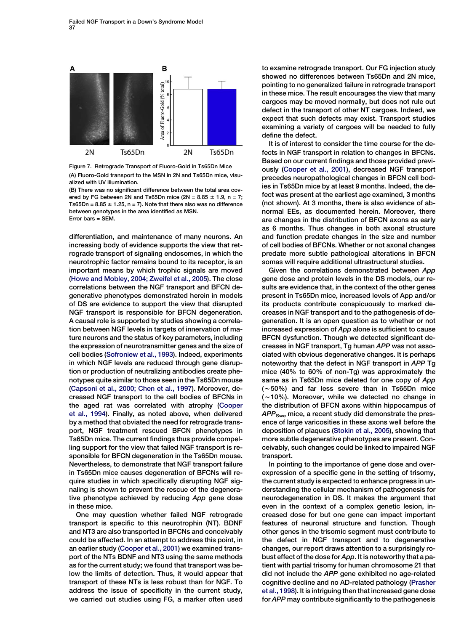<span id="page-8-0"></span>

Figure 7. Retrograde Transport of Fluoro-Gold in Ts65Dn Mice (A) Fluoro-Gold transport to the MSN in 2N and Ts65Dn mice, visualized with UV illumination.

(B) There was no significant difference between the total area covered by FG between 2N and Ts65Dn mice (2N =  $8.85 \pm 1.9$ , n = 7; Ts65Dn =  $8.85 \pm 1.25$ , n = 7). Note that there also was no difference between genotypes in the area identified as MSN. Error bars = SEM.

differentiation, and maintenance of many neurons. An increasing body of evidence supports the view that retrograde transport of signaling endosomes, in which the neurotrophic factor remains bound to its receptor, is an important means by which trophic signals are moved [\(Howe and Mobley, 2004; Zweifel et al., 2005\)](#page-12-0). The close correlations between the NGF transport and BFCN degenerative phenotypes demonstrated herein in models of DS are evidence to support the view that disrupted NGF transport is responsible for BFCN degeneration. A causal role is supported by studies showing a correlation between NGF levels in targets of innervation of mature neurons and the status of key parameters, including the expression of neurotransmitter genes and the size of cell bodies ([Sofroniew et al., 1993\)](#page-13-0). Indeed, experiments in which NGF levels are reduced through gene disruption or production of neutralizing antibodies create phenotypes quite similar to those seen in the Ts65Dn mouse [\(Capsoni et al., 2000; Chen et al., 1997\)](#page-11-0). Moreover, decreased NGF transport to the cell bodies of BFCNs in the aged rat was correlated with atrophy ([Cooper](#page-11-0) [et al., 1994\)](#page-11-0). Finally, as noted above, when delivered by a method that obviated the need for retrograde transport, NGF treatment rescued BFCN phenotypes in Ts65Dn mice. The current findings thus provide compelling support for the view that failed NGF transport is responsible for BFCN degeneration in the Ts65Dn mouse. Nevertheless, to demonstrate that NGF transport failure in Ts65Dn mice causes degeneration of BFCNs will require studies in which specifically disrupting NGF signaling is shown to prevent the rescue of the degenerative phenotype achieved by reducing App gene dose in these mice.

One may question whether failed NGF retrograde transport is specific to this neurotrophin (NT). BDNF and NT3 are also transported in BFCNs and conceivably could be affected. In an attempt to address this point, in an earlier study ([Cooper et al., 2001\)](#page-11-0) we examined transport of the NTs BDNF and NT3 using the same methods as for the current study; we found that transport was below the limits of detection. Thus, it would appear that transport of these NTs is less robust than for NGF. To address the issue of specificity in the current study, we carried out studies using FG, a marker often used to examine retrograde transport. Our FG injection study showed no differences between Ts65Dn and 2N mice, pointing to no generalized failure in retrograde transport in these mice. The result encourages the view that many cargoes may be moved normally, but does not rule out defect in the transport of other NT cargoes. Indeed, we expect that such defects may exist. Transport studies examining a variety of cargoes will be needed to fully define the defect.

It is of interest to consider the time course for the defects in NGF transport in relation to changes in BFCNs. Based on our current findings and those provided previously ([Cooper et al., 2001](#page-11-0)), decreased NGF transport precedes neuropathological changes in BFCN cell bodies in Ts65Dn mice by at least 9 months. Indeed, the defect was present at the earliest age examined, 3 months (not shown). At 3 months, there is also evidence of abnormal EEs, as documented herein. Moreover, there are changes in the distribution of BFCN axons as early as 6 months. Thus changes in both axonal structure and function predate changes in the size and number of cell bodies of BFCNs. Whether or not axonal changes predate more subtle pathological alterations in BFCN somas will require additional ultrastructural studies.

Given the correlations demonstrated between App gene dose and protein levels in the DS models, our results are evidence that, in the context of the other genes present in Ts65Dn mice, increased levels of App and/or its products contribute conspicuously to marked decreases in NGF transport and to the pathogenesis of degeneration. It is an open question as to whether or not increased expression of App alone is sufficient to cause BFCN dysfunction. Though we detected significant decreases in NGF transport, Tg human APP was not associated with obvious degenerative changes. It is perhaps noteworthy that the defect in NGF transport in APP Tg mice (40% to 60% of non-Tg) was approximately the same as in Ts65Dn mice deleted for one copy of App  $(-50%)$  and far less severe than in Ts65Dn mice  $(-10%)$ . Moreover, while we detected no change in the distribution of BFCN axons within hippocampus of  $APP<sub>Swe</sub>$  mice, a recent study did demonstrate the presence of large varicosities in these axons well before the deposition of plaques ([Stokin et al., 2005\)](#page-13-0), showing that more subtle degenerative phenotypes are present. Conceivably, such changes could be linked to impaired NGF transport.

In pointing to the importance of gene dose and overexpression of a specific gene in the setting of trisomy, the current study is expected to enhance progress in understanding the cellular mechanism of pathogenesis for neurodegeneration in DS. It makes the argument that even in the context of a complex genetic lesion, increased dose for but one gene can impact important features of neuronal structure and function. Though other genes in the trisomic segment must contribute to the defect in NGF transport and to degenerative changes, our report draws attention to a surprisingly robust effect of the dose for App. It is noteworthy that a patient with partial trisomy for human chromosome 21 that did not include the APP gene exhibited no age-related cognitive decline and no AD-related pathology ([Prasher](#page-12-0) [et al., 1998\)](#page-12-0). It is intriguing then that increased gene dose for APP may contribute significantly to the pathogenesis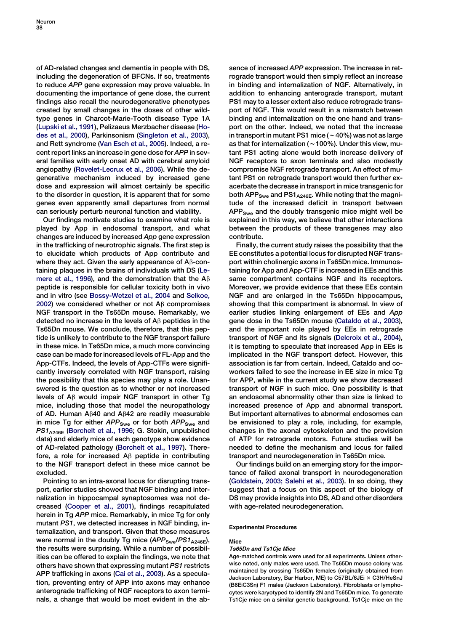of AD-related changes and dementia in people with DS, including the degeneration of BFCNs. If so, treatments to reduce APP gene expression may prove valuable. In documenting the importance of gene dose, the current findings also recall the neurodegenerative phenotypes created by small changes in the doses of other wildtype genes in Charcot-Marie-Tooth disease Type 1A [\(Lupski et al., 1991\)](#page-12-0), Pelizaeus Merzbacher disease ([Ho](#page-12-0)[des et al., 2000\)](#page-12-0), Parkinsonism [\(Singleton et al., 2003](#page-13-0)), and Rett syndrome ([Van Esch et al., 2005](#page-13-0)). Indeed, a recent report links an increase in gene dose for APP in several families with early onset AD with cerebral amyloid angiopathy ([Rovelet-Lecrux et al., 2006\)](#page-12-0). While the degenerative mechanism induced by increased gene dose and expression will almost certainly be specific to the disorder in question, it is apparent that for some genes even apparently small departures from normal can seriously perturb neuronal function and viability.

Our findings motivate studies to examine what role is played by App in endosomal transport, and what changes are induced by increased App gene expression in the trafficking of neurotrophic signals. The first step is to elucidate which products of App contribute and where they act. Given the early appearance of  $A\beta$ -containing plaques in the brains of individuals with DS [\(Le](#page-12-0)[mere et al., 1996\)](#page-12-0), and the demonstration that the A $\beta$ peptide is responsible for cellular toxicity both in vivo and in vitro (see [Bossy-Wetzel et al., 2004](#page-11-0) and [Selkoe,](#page-12-0) [2002\)](#page-12-0) we considered whether or not  $\mathsf{A}\beta$  compromises NGF transport in the Ts65Dn mouse. Remarkably, we detected no increase in the levels of  $\mathsf{A}\beta$  peptides in the Ts65Dn mouse. We conclude, therefore, that this peptide is unlikely to contribute to the NGF transport failure in these mice. In Ts65Dn mice, a much more convincing case can be made for increased levels of FL-App and the App-CTFs. Indeed, the levels of App-CTFs were significantly inversely correlated with NGF transport, raising the possibility that this species may play a role. Unanswered is the question as to whether or not increased levels of  $A\beta$  would impair NGF transport in other Tg mice, including those that model the neuropathology of AD. Human A $\beta$ 40 and A $\beta$ 42 are readily measurable in mice Tg for either  $APP<sub>Swe</sub>$  or for both  $APP<sub>Swe</sub>$  and  $PS1_{A246E}$  ([Borchelt et al., 1996;](#page-11-0) G. Stokin, unpublished data) and elderly mice of each genotype show evidence of AD-related pathology [\(Borchelt et al., 1997\)](#page-11-0). Therefore, a role for increased  $\mathsf{A}\beta$  peptide in contributing to the NGF transport defect in these mice cannot be excluded.

Pointing to an intra-axonal locus for disrupting transport, earlier studies showed that NGF binding and internalization in hippocampal synaptosomes was not decreased [\(Cooper et al., 2001\)](#page-11-0), findings recapitulated herein in Tg APP mice. Remarkably, in mice Tg for only mutant PS1, we detected increases in NGF binding, internalization, and transport. Given that these measures were normal in the doubly Tg mice  $(APP<sub>Swe</sub>/PS1<sub>A246E</sub>)$ , the results were surprising. While a number of possibilities can be offered to explain the findings, we note that others have shown that expressing mutant PS1 restricts APP trafficking in axons ([Cai et al., 2003](#page-11-0)). As a speculation, preventing entry of APP into axons may enhance anterograde trafficking of NGF receptors to axon terminals, a change that would be most evident in the ab-

sence of increased APP expression. The increase in retrograde transport would then simply reflect an increase in binding and internalization of NGF. Alternatively, in addition to enhancing anterograde transport, mutant PS1 may to a lesser extent also reduce retrograde transport of NGF. This would result in a mismatch between binding and internalization on the one hand and transport on the other. Indeed, we noted that the increase in transport in mutant PS1 mice ( $\sim$  40%) was not as large as that for internalization ( $\sim$  100%). Under this view, mutant PS1 acting alone would both increase delivery of NGF receptors to axon terminals and also modestly compromise NGF retrograde transport. An effect of mutant PS1 on retrograde transport would then further exacerbate the decrease in transport in mice transgenic for both APP<sub>Swe</sub> and PS1<sub>A246E</sub>. While noting that the magnitude of the increased deficit in transport between APPSwe and the doubly transgenic mice might well be explained in this way, we believe that other interactions between the products of these transgenes may also contribute.

Finally, the current study raises the possibility that the EE constitutes a potential locus for disrupted NGF transport within cholinergic axons in Ts65Dn mice. Immunostaining for App and App-CTF is increased in EEs and this same compartment contains NGF and its receptors. Moreover, we provide evidence that these EEs contain NGF and are enlarged in the Ts65Dn hippocampus, showing that this compartment is abnormal. In view of earlier studies linking enlargement of EEs and App gene dose in the Ts65Dn mouse ([Cataldo et al., 2003\)](#page-11-0), and the important role played by EEs in retrograde transport of NGF and its signals [\(Delcroix et al., 2004\)](#page-12-0), it is tempting to speculate that increased App in EEs is implicated in the NGF transport defect. However, this association is far from certain. Indeed, Cataldo and coworkers failed to see the increase in EE size in mice Tg for APP, while in the current study we show decreased transport of NGF in such mice. One possibility is that an endosomal abnormality other than size is linked to increased presence of App and abnormal transport. But important alternatives to abnormal endosomes can be envisioned to play a role, including, for example, changes in the axonal cytoskeleton and the provision of ATP for retrograde motors. Future studies will be needed to define the mechanism and locus for failed transport and neurodegeneration in Ts65Dn mice.

Our findings build on an emerging story for the importance of failed axonal transport in neurodegeneration [\(Goldstein, 2003; Salehi et al., 2003](#page-12-0)). In so doing, they suggest that a focus on this aspect of the biology of DS may provide insights into DS, AD and other disorders with age-related neurodegeneration.

#### Experimental Procedures

#### Mice

#### Ts65Dn and Ts1Cje Mice

Age-matched controls were used for all experiments. Unless otherwise noted, only males were used. The Ts65Dn mouse colony was maintained by crossing Ts65Dn females (originally obtained from Jackson Laboratory, Bar Harbor, ME) to C57BL/6JEi x C3H/HeSnJ (B6EiC3Sn) F1 males (Jackson Laboratory). Fibroblasts or lymphocytes were karyotyped to identify 2N and Ts65Dn mice. To generate Ts1Cje mice on a similar genetic background, Ts1Cje mice on the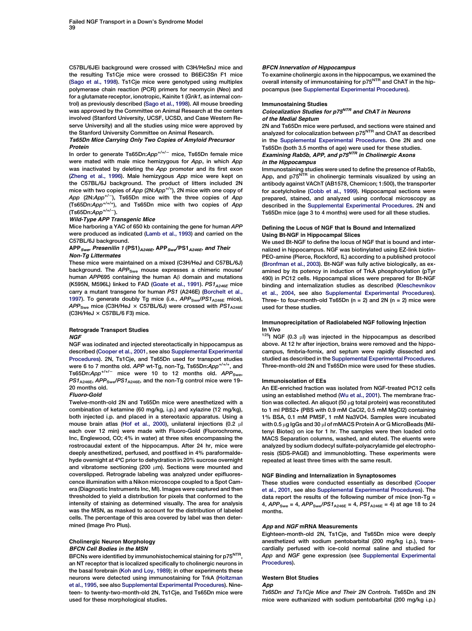C57BL/6JEi background were crossed with C3H/HeSnJ mice and the resulting Ts1Cje mice were crossed to B6EiC3Sn F1 mice ([Sago et al., 1998](#page-12-0)). Ts1Cje mice were genotyped using multiplex polymerase chain reaction (PCR) primers for neomycin (Neo) and for a glutamate receptor, ionotropic, Kainite 1 (Grik1, as internal control) as previously described [\(Sago et al., 1998](#page-12-0)). All mouse breeding was approved by the Committee on Animal Research at the centers involved (Stanford University, UCSF, UCSD, and Case Western Reserve University) and all the studies using mice were approved by the Stanford University Committee on Animal Research.

#### Ts65Dn Mice Carrying Only Two Copies of Amyloid Precursor Protein

In order to generate Ts65Dn:App<sup>+/+/-</sup> mice, Ts65Dn female mice were mated with male mice hemizygous for App, in which App was inactivated by deleting the App promoter and its first exon ([Zheng et al., 1996](#page-13-0)). Male hemizygous App mice were kept on the C57BL/6J background. The product of litters included 2N mice with two copies of App (2N:App<sup>+/+</sup>), 2N mice with one copy of App (2N:App<sup>+/-</sup>), Ts65Dn mice with the three copies of App (Ts65Dn:App<sup>+/+/+</sup>), and Ts65Dn mice with two copies of App  $(Ts65Dn:App<sup>+/+/-</sup>).$ 

#### Wild-Type APP Transgenic Mice

Mice harboring a YAC of 650 kb containing the gene for human APP were produced as indicated ([Lamb et al., 1993\)](#page-12-0) and carried on the C57BL/6J background.

#### APP<sub>Swe</sub>, Presenilin 1 (PS1)<sub>A246E</sub>, APP<sub>Swe</sub>/PS1<sub>A246E</sub>, and Their Non-Tg Littermates

These mice were maintained on a mixed (C3H/HeJ and C57BL/6J) background. The APP<sub>Swe</sub> mouse expresses a chimeric mouse/ human APP695 containing the human  $A\beta$  domain and mutations (K595N, M596L) linked to FAD [\(Goate et al., 1991\)](#page-12-0).  $PS1_{A246E}$  mice carry a mutant transgene for human PS1 (A246E) ([Borchelt et al.,](#page-11-0) [1997](#page-11-0)). To generate doubly Tg mice (i.e.,  $APP_{Swe}/PS1_{A246E}$  mice),  $APP<sub>Swe</sub>$  mice (C3H/HeJ  $\times$  C57BL/6J) were crossed with  $PS1<sub>A246E</sub>$ (C3H/HeJ  $\times$  C57BL/6 F3) mice.

#### Retrograde Transport Studies **NGF**

NGF was iodinated and injected stereotactically in hippocampus as described [\(Cooper et al., 2001](#page-11-0), see also [Supplemental Experimental](#page-11-0) [Procedures\)](#page-11-0). 2N, Ts1Cje, and Ts65Dn used for transport studies were 6 to 7 months old. APP wt-Tg, non-Tg, Ts65Dn:App<sup>+/+/+</sup>, and Ts65Dn: $App^{+/+/-}$  mice were 10 to 12 months old.  $APP_{Swe}$ , PS1<sub>A246E</sub>, APP<sub>Swe</sub>/PS1<sub>A246E</sub>, and the non-Tg control mice were 19-20 months old.

#### Fluoro-Gold

Twelve-month-old 2N and Ts65Dn mice were anesthetized with a combination of ketamine (60 mg/kg, i.p.) and xylazine (12 mg/kg), both injected i.p. and placed in a stereotaxic apparatus. Using a mouse brain atlas ([Hof et al., 2000](#page-12-0)), unilateral injections (0.2 µl each over 12 min) were made with Fluoro-Gold (Fluorochrome, Inc, Englewood, CO; 4% in water) at three sites encompassing the rostrocaudal extent of the hippocampus. After 24 hr, mice were deeply anesthetized, perfused, and postfixed in 4% paraformaldehyde overnight at 4ºC prior to dehydration in 20% sucrose overnight and vibratome sectioning (200 um). Sections were mounted and coverslipped. Retrograde labeling was analyzed under epifluorescence illumination with a Nikon microscope coupled to a Spot Camera (Diagnostic Instruments Inc, MI). Images were captured and then thresholded to yield a distribution for pixels that conformed to the intensity of staining as determined visually. The area for analysis was the MSN, as masked to account for the distribution of labeled cells. The percentage of this area covered by label was then determined (Image Pro Plus).

#### Cholinergic Neuron Morphology BFCN Cell Bodies in the MSN

BFCNs were identified by immunohistochemical staining for p75<sup>NTR</sup>, an NT receptor that is localized specifically to cholinergic neurons in the basal forebrain ([Koh and Loy, 1989](#page-12-0)); in other experiments these neurons were detected using immunostaining for TrkA [\(Holtzman](#page-12-0) [et al., 1995,](#page-12-0) see also [Supplemental Experimental Procedures](#page-11-0)). Nineteen- to twenty-two-month-old 2N, Ts1Cje, and Ts65Dn mice were used for these morphological studies.

#### BFCN Innervation of Hippocampus

To examine cholinergic axons in the hippocampus, we examined the overall intensity of immunostaining for p75<sup>NTR</sup> and ChAT in the hippocampus (see [Supplemental Experimental Procedures](#page-11-0)).

#### Immunostaining Studies

Colocalization Studies for p75<sup>NTR</sup> and ChAT in Neurons of the Medial Septum

2N and Ts65Dn mice were perfused, and sections were stained and analyzed for colocalization between p75NTR and ChAT as described in the [Supplemental Experimental Procedures](#page-11-0). One 2N and one Ts65Dn (both 3.5 months of age) were used for these studies. Examining Rab5b, APP, and p75<sup>NTR</sup> in Cholinergic Axons in the Hippocampus

# Immunostaining studies were used to define the presence of Rab5b,<br>App, and p75<sup>NTR</sup> in cholinergic terminals visualized by using an

antibody against VAChT (AB1578, Chemicon; 1:500), the transporter for acetylcholine ([Cobb et al., 1999](#page-11-0)). Hippocampal sections were prepared, stained, and analyzed using confocal microscopy as described in the [Supplemental Experimental Procedures](#page-11-0). 2N and Ts65Dn mice (age 3 to 4 months) were used for all these studies.

#### Defining the Locus of NGF that Is Bound and Internalized Using Bt-NGF in Hippocampal Slices

We used Bt-NGF to define the locus of NGF that is bound and internalized in hippocampus. NGF was biotinylated using EZ-link biotin-PEO-amine (Pierce, Rockford, IL) according to a published protocol ([Bronfman et al., 2003\)](#page-11-0). Bt-NGF was fully active biologically, as examined by its potency in induction of TrkA phosphorylation (pTyr 490) in PC12 cells. Hippocampal slices were prepared for Bt-NGF binding and internalization studies as described [\(Kleschevnikov](#page-12-0) [et al., 2004](#page-12-0), see also [Supplemental Experimental Procedures](#page-11-0)). Three- to four-month-old Ts65Dn ( $n = 2$ ) and 2N ( $n = 2$ ) mice were used for these studies.

#### Immunoprecipitation of Radiolabeled NGF following Injection In Vivo

 $125$ | NGF (0.3 µl) was injected in the hippocampus as described above. At 12 hr after injection, brains were removed and the hippocampus, fimbria-fornix, and septum were rapidly dissected and studied as described in the [Supplemental Experimental Procedures](#page-11-0). Three-month-old 2N and Ts65Dn mice were used for these studies.

#### Immunoisolation of EEs

An EE-enriched fraction was isolated from NGF-treated PC12 cells using an established method [\(Wu et al., 2001\)](#page-13-0). The membrane fraction was collected. An aliquot (50  $\mu$ g total protein) was reconstituted to 1 ml PBS2+ (PBS with 0.9 mM CaCl2, 0.5 mM MgCl2) containing 1% BSA, 0.1 mM PMSF, 1 mM Na3VO4. Samples were incubated with 0.5 µg IgGs and 30 µl of mMACS Protein A or G MicroBeads (Miltenyi Biotec) on ice for 1 hr. The samples were then loaded onto MACS Separation columns, washed, and eluted. The eluents were analyzed by sodium dodecyl sulfate-polyacrylamide gel electrophoresis (SDS-PAGE) and immunoblotting. These experiments were repeated at least three times with the same result.

#### NGF Binding and Internalization in Synaptosomes

These studies were conducted essentially as described [\(Cooper](#page-11-0) [et al., 2001](#page-11-0), see also [Supplemental Experimental Procedures\)](#page-11-0). The data report the results of the following number of mice (non-Tg = 4,  $APP_{Swe} = 4$ ,  $APP_{Swe}/PS1_{A246E} = 4$ ,  $PS1_{A246E} = 4$ ) at age 18 to 24 months.

#### App and NGF mRNA Measurements

Eighteen-month-old 2N, Ts1Cje, and Ts65Dn mice were deeply anesthetized with sodium pentobarbital (200 mg/kg i.p.), transcardially perfused with ice-cold normal saline and studied for App and NGF gene expression (see [Supplemental Experimental](#page-11-0) [Procedures](#page-11-0)).

### Western Blot Studies

App

Ts65Dn and Ts1Cje Mice and Their 2N Controls. Ts65Dn and 2N mice were euthanized with sodium pentobarbital (200 mg/kg i.p.)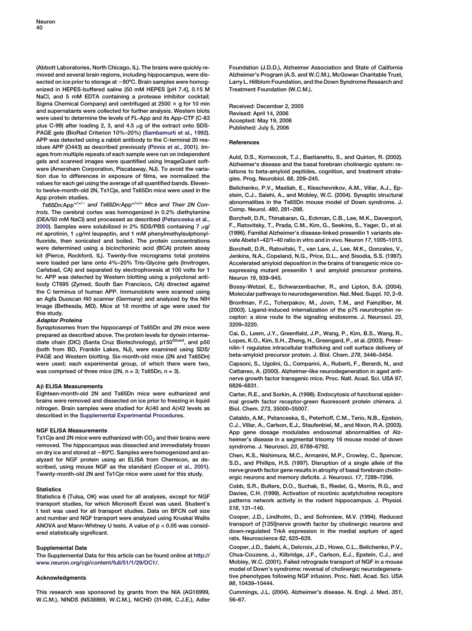<span id="page-11-0"></span>(Abbott Laboratories, North Chicago, IL). The brains were quickly removed and several brain regions, including hippocampus, were dissected on ice prior to storage at -80°C. Brain samples were homogenized in HEPES-buffered saline (50 mM HEPES [pH 7.4], 0.15 M NaCl, and 5 mM EDTA containing a protease inhibitor cocktail; Sigma Chemical Company) and centrifuged at 2500  $\times$  g for 10 min and supernatants were collected for further analysis. Western blots were used to determine the levels of FL-App and its App-CTF (C-83 plus C-99) after loading 2, 3, and 4.5  $\mu$ g of the extract onto SDS-PAGE gels (BioRad Criterion 10%–20%) [\(Sambamurti et al., 1992](#page-12-0)). APP was detected using a rabbit antibody to the C-terminal 20 residues APP (O443) as described previously ([Pinnix et al., 2001](#page-12-0)). Images from multiple repeats of each sample were run on independent gels and scanned images were quantified using ImageQuant software (Amersham Corporation, Piscataway, NJ). To avoid the variation due to differences in exposure of films, we normalized the values for each gel using the average of all quantified bands. Elevento twelve-month-old 2N, Ts1Cje, and Ts65Dn mice were used in the App protein studies.

 $Ts65Dn:App^{+/+/-}$  and Ts65Dn:App<sup>+/+/+</sup> Mice and Their 2N Controls. The cerebral cortex was homogenized in 0.2% diethylamine (DEA/50 mM NaCl) and processed as described ([Petanceska et al.,](#page-12-0) [2000](#page-12-0)). Samples were solubilized in 2% SDS/PBS containing  $7 \mu g$ / ml aprotinin, 1  $\mu$ g/ml leupeptin, and 1 mM phenylmethylsulphonylfluoride, then sonicated and boiled. The protein concentrations were determined using a bicinchoninic acid (BCA) protein assay kit (Pierce, Rockford, IL). Twenty-five micrograms total proteins were loaded per lane onto 4%–20% Tris-Glycine gels (Invitrogen, Carlsbad, CA) and separated by electrophoresis at 100 volts for 1 hr. APP was detected by Western blotting using a polyclonal antibody CT695 (Zymed, South San Francisco, CA) directed against the C terminus of human APP. Immunoblots were scanned using an Agfa Duoscan f40 scanner (Germany) and analyzed by the NIH Image (Bethesda, MD). Mice at 16 months of age were used for this study.

#### Adaptor Proteins

Synaptosomes from the hippocampi of Ts65Dn and 2N mice were prepared as described above. The protein levels for dynein interme-<br>diate chain (DIC) (Santa Cruz Biotechnology), p150<sup>Glued</sup>, and p50 (both from BD, Franklin Lakes, NJ), were examined using SDS/ PAGE and Western blotting. Six-month-old mice (2N and Ts65Dn) were used; each experimental group, of which there were two, was comprised of three mice  $(2N, n = 3; Ts65Dn, n = 3)$ .

#### A*b* ELISA Measurements

Eighteen-month-old 2N and Ts65Dn mice were euthanized and brains were removed and dissected on ice prior to freezing in liquid nitrogen. Brain samples were studied for  $A\beta40$  and  $A\beta42$  levels as described in the Supplemental Experimental Procedures.

#### NGF ELISA Measurements

Ts1Cie and 2N mice were euthanized with  $CO<sub>2</sub>$  and their brains were removed. The hippocampus was dissected and immediately frozen on dry ice and stored at -80°C. Samples were homogenized and analyzed for NGF protein using an ELISA from Chemicon, as described, using mouse NGF as the standard (Cooper et al., 2001). Twenty-month-old 2N and Ts1Cje mice were used for this study.

#### **Statistics**

Statistica 6 (Tulsa, OK) was used for all analyses, except for NGF transport studies, for which Microsoft Excel was used. Student's t test was used for all transport studies. Data on BFCN cell size and number and NGF transport were analyzed using Kruskal Wallis ANOVA and Mann-Whitney U tests. A value of p < 0.05 was considered statistically significant.

#### Supplemental Data

The Supplemental Data for this article can be found online at [http://](http://www.neuron.org/cgi/content/full/51/1/29/DC1/) [www.neuron.org/cgi/content/full/51/1/29/DC1/](http://www.neuron.org/cgi/content/full/51/1/29/DC1/).

#### Acknowledgments

This research was sponsored by grants from the NIA (AG16999, W.C.M.), NINDS (NS38869, W.C.M.), NICHD (31498, C.J.E.), Adler Foundation (J.D.D.), Alzheimer Association and State of California Alzheimer's Program (A.S. and W.C.M.), McGowan Charitable Trust, Larry L. Hillblom Foundation, and the Down Syndrome Research and Treatment Foundation (W.C.M.).

Received: December 2, 2005 Revised: April 14, 2006 Accepted: May 19, 2006 Published: July 5, 2006

#### References

Auld, D.S., Kornecook, T.J., Bastianetto, S., and Quirion, R. (2002). Alzheimer's disease and the basal forebrain cholinergic system: relations to beta-amyloid peptides, cognition, and treatment strategies. Prog. Neurobiol. 68, 209–245.

Belichenko, P.V., Masliah, E., Kleschevnikov, A.M., Villar, A.J., Epstein, C.J., Salehi, A., and Mobley, W.C. (2004). Synaptic structural abnormalities in the Ts65Dn mouse model of Down syndrome. J. Comp. Neurol. 480, 281–298.

Borchelt, D.R., Thinakaran, G., Eckman, C.B., Lee, M.K., Davenport, F., Ratovitsky, T., Prada, C.M., Kim, G., Seekins, S., Yager, D., et al. (1996). Familial Alzheimer's disease-linked presenilin 1 variants elevate Abeta1–42/1–40 ratio in vitro and in vivo. Neuron 17, 1005–1013.

Borchelt, D.R., Ratovitski, T., van Lare, J., Lee, M.K., Gonzales, V., Jenkins, N.A., Copeland, N.G., Price, D.L., and Sisodia, S.S. (1997). Accelerated amyloid deposition in the brains of transgenic mice coexpressing mutant presenilin 1 and amyloid precursor proteins. Neuron 19, 939–945.

Bossy-Wetzel, E., Schwarzenbacher, R., and Lipton, S.A. (2004). Molecular pathways to neurodegeneration. Nat. Med. Suppl. 10, 2–9. Bronfman, F.C., Tcherpakov, M., Jovin, T.M., and Fainzilber, M. (2003). Ligand-induced internalization of the p75 neurotrophin receptor: a slow route to the signaling endosome. J. Neurosci. 23, 3209–3220.

Cai, D., Leem, J.Y., Greenfield, J.P., Wang, P., Kim, B.S., Wang, R., Lopes, K.O., Kim, S.H., Zheng, H., Greengard, P., et al. (2003). Presenilin-1 regulates intracellular trafficking and cell surface delivery of beta-amyloid precursor protein. J. Biol. Chem. 278, 3446–3454.

Capsoni, S., Ugolini, G., Comparini, A., Ruberti, F., Berardi, N., and Cattaneo, A. (2000). Alzheimer-like neurodegeneration in aged antinerve growth factor transgenic mice. Proc. Natl. Acad. Sci. USA 97, 6826–6831.

Carter, R.E., and Sorkin, A. (1998). Endocytosis of functional epidermal growth factor receptor-green fluorescent protein chimera. J. Biol. Chem. 273, 35000–35007.

Cataldo, A.M., Petanceska, S., Peterhoff, C.M., Terio, N.B., Epstein, C.J., Villar, A., Carlson, E.J., Staufenbiel, M., and Nixon, R.A. (2003). App gene dosage modulates endosomal abnormalities of Alzheimer's disease in a segmental trisomy 16 mouse model of down syndrome. J. Neurosci. 23, 6788–6792.

Chen, K.S., Nishimura, M.C., Armanini, M.P., Crowley, C., Spencer, S.D., and Phillips, H.S. (1997). Disruption of a single allele of the nerve growth factor gene results in atrophy of basal forebrain cholinergic neurons and memory deficits. J. Neurosci. 17, 7288–7296.

Cobb, S.R., Bulters, D.O., Suchak, S., Riedel, G., Morris, R.G., and Davies, C.H. (1999). Activation of nicotinic acetylcholine receptors patterns network activity in the rodent hippocampus. J. Physiol. 518, 131–140.

Cooper, J.D., Lindholm, D., and Sofroniew, M.V. (1994). Reduced transport of [125I]nerve growth factor by cholinergic neurons and down-regulated TrkA expression in the medial septum of aged rats. Neuroscience 62, 625–629.

Cooper, J.D., Salehi, A., Delcroix, J.D., Howe, C.L., Belichenko, P.V., Chua-Couzens, J., Kilbridge, J.F., Carlson, E.J., Epstein, C.J., and Mobley, W.C. (2001). Failed retrograde transport of NGF in a mouse model of Down's syndrome: reversal of cholinergic neurodegenerative phenotypes following NGF infusion. Proc. Natl. Acad. Sci. USA 98, 10439–10444.

Cummings, J.L. (2004). Alzheimer's disease. N. Engl. J. Med. 351, 56–67.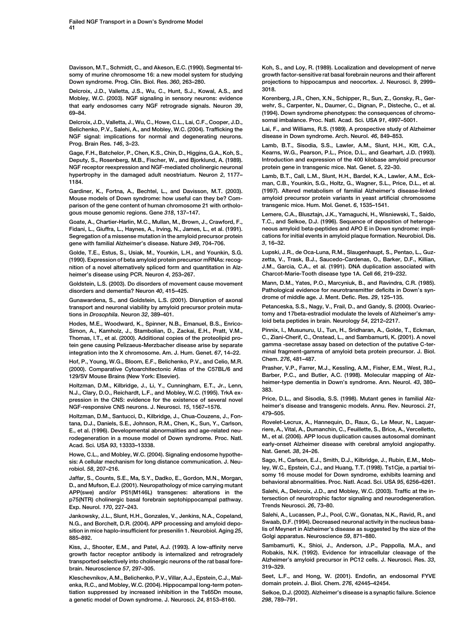<span id="page-12-0"></span>Davisson, M.T., Schmidt, C., and Akeson, E.C. (1990). Segmental trisomy of murine chromosome 16: a new model system for studying Down syndrome. Prog. Clin. Biol. Res. 360, 263–280.

Delcroix, J.D., Valletta, J.S., Wu, C., Hunt, S.J., Kowal, A.S., and Mobley, W.C. (2003). NGF signaling in sensory neurons: evidence that early endosomes carry NGF retrograde signals. Neuron 39, 69–84.

Delcroix, J.D., Valletta, J., Wu, C., Howe, C.L., Lai, C.F., Cooper, J.D., Belichenko, P.V., Salehi, A., and Mobley, W.C. (2004). Trafficking the NGF signal: implications for normal and degenerating neurons. Prog. Brain Res. 146, 3–23.

Gage, F.H., Batchelor, P., Chen, K.S., Chin, D., Higgins, G.A., Koh, S., Deputy, S., Rosenberg, M.B., Fischer, W., and Bjorklund, A. (1989). NGF receptor reexpression and NGF-mediated cholinergic neuronal hypertrophy in the damaged adult neostriatum. Neuron 2, 1177– 1184.

Gardiner, K., Fortna, A., Bechtel, L., and Davisson, M.T. (2003). Mouse models of Down syndrome: how useful can they be? Comparison of the gene content of human chromosome 21 with orthologous mouse genomic regions. Gene 318, 137–147.

Goate, A., Chartier-Harlin, M.C., Mullan, M., Brown, J., Crawford, F., Fidani, L., Giuffra, L., Haynes, A., Irving, N., James, L., et al. (1991). Segregation of a missense mutation in the amyloid precursor protein gene with familial Alzheimer's disease. Nature 349, 704–706.

Golde, T.E., Estus, S., Usiak, M., Younkin, L.H., and Younkin, S.G. (1990). Expression of beta amyloid protein precursor mRNAs: recognition of a novel alternatively spliced form and quantitation in Alzheimer's disease using PCR. Neuron 4, 253–267.

Goldstein, L.S. (2003). Do disorders of movement cause movement disorders and dementia? Neuron 40, 415–425.

Gunawardena, S., and Goldstein, L.S. (2001). Disruption of axonal transport and neuronal viability by amyloid precursor protein mutations in Drosophila. Neuron 32, 389–401.

Hodes, M.E., Woodward, K., Spinner, N.B., Emanuel, B.S., Enrico-Simon, A., Kamholz, J., Stambolian, D., Zackai, E.H., Pratt, V.M., Thomas, I.T., et al. (2000). Additional copies of the proteolipid protein gene causing Pelizaeus-Merzbacher disease arise by separate integration into the X chromosome. Am. J. Hum. Genet. 67, 14–22.

Hof, P., Young, W.G., Bloom, E.F., Belichenko, P.V., and Celio, M.R. (2000). Comparative Cytoarchitectonic Atlas of the C57BL/6 and 129/SV Mouse Brains (New York: Elsevier).

Holtzman, D.M., Kilbridge, J., Li, Y., Cunningham, E.T., Jr., Lenn, N.J., Clary, D.O., Reichardt, L.F., and Mobley, W.C. (1995). TrkA expression in the CNS: evidence for the existence of several novel NGF-responsive CNS neurons. J. Neurosci. 15, 1567–1576.

Holtzman, D.M., Santucci, D., Kilbridge, J., Chua-Couzens, J., Fontana, D.J., Daniels, S.E., Johnson, R.M., Chen, K., Sun, Y., Carlson, E., et al. (1996). Developmental abnormalities and age-related neurodegeneration in a mouse model of Down syndrome. Proc. Natl. Acad. Sci. USA 93, 13333–13338.

Howe, C.L., and Mobley, W.C. (2004). Signaling endosome hypothesis: A cellular mechanism for long distance communication. J. Neurobiol. 58, 207–216.

Jaffar, S., Counts, S.E., Ma, S.Y., Dadko, E., Gordon, M.N., Morgan, D., and Mufson, E.J. (2001). Neuropathology of mice carrying mutant APP(swe) and/or PS1(M146L) transgenes: alterations in the p75(NTR) cholinergic basal forebrain septohippocampal pathway. Exp. Neurol. 170, 227–243.

Jankowsky, J.L., Slunt, H.H., Gonzales, V., Jenkins, N.A., Copeland, N.G., and Borchelt, D.R. (2004). APP processing and amyloid deposition in mice haplo-insufficient for presenilin 1. Neurobiol. Aging 25, 885–892.

Kiss, J., Shooter, E.M., and Patel, A.J. (1993). A low-affinity nerve growth factor receptor antibody is internalized and retrogradely transported selectively into cholinergic neurons of the rat basal forebrain. Neuroscience 57, 297–305.

Kleschevnikov, A.M., Belichenko, P.V., Villar, A.J., Epstein, C.J., Malenka, R.C., and Mobley, W.C. (2004). Hippocampal long-term potentiation suppressed by increased inhibition in the Ts65Dn mouse, a genetic model of Down syndrome. J. Neurosci. 24, 8153–8160.

Koh, S., and Loy, R. (1989). Localization and development of nerve growth factor-sensitive rat basal forebrain neurons and their afferent projections to hippocampus and neocortex. J. Neurosci. 9, 2999– 3018.

Korenberg, J.R., Chen, X.N., Schipper, R., Sun, Z., Gonsky, R., Gerwehr, S., Carpenter, N., Daumer, C., Dignan, P., Disteche, C., et al. (1994). Down syndrome phenotypes: the consequences of chromosomal imbalance. Proc. Natl. Acad. Sci. USA 91, 4997–5001.

Lai, F., and Williams, R.S. (1989). A prospective study of Alzheimer disease in Down syndrome. Arch. Neurol. 46, 849–853.

Lamb, B.T., Sisodia, S.S., Lawler, A.M., Slunt, H.H., Kitt, C.A., Kearns, W.G., Pearson, P.L., Price, D.L., and Gearhart, J.D. (1993). Introduction and expression of the 400 kilobase amyloid precursor protein gene in transgenic mice. Nat. Genet. 5, 22–30.

Lamb, B.T., Call, L.M., Slunt, H.H., Bardel, K.A., Lawler, A.M., Eckman, C.B., Younkin, S.G., Holtz, G., Wagner, S.L., Price, D.L., et al. (1997). Altered metabolism of familial Alzheimer's disease-linked amyloid precursor protein variants in yeast artificial chromosome transgenic mice. Hum. Mol. Genet. 6, 1535–1541.

Lemere, C.A., Blusztajn, J.K., Yamaguchi, H., Wisniewski, T., Saido, T.C., and Selkoe, D.J. (1996). Sequence of deposition of heterogeneous amyloid beta-peptides and APO E in Down syndrome: implications for initial events in amyloid plaque formation. Neurobiol. Dis. 3, 16–32.

Lupski, J.R., de Oca-Luna, R.M., Slaugenhaupt, S., Pentao, L., Guzzetta, V., Trask, B.J., Saucedo-Cardenas, O., Barker, D.F., Killian, J.M., Garcia, C.A., et al. (1991). DNA duplication associated with Charcot-Marie-Tooth disease type 1A. Cell 66, 219–232.

Mann, D.M., Yates, P.O., Marcyniuk, B., and Ravindra, C.R. (1985). Pathological evidence for neurotransmitter deficits in Down's syndrome of middle age. J. Ment. Defic. Res. 29, 125–135.

Petanceska, S.S., Nagy, V., Frail, D., and Gandy, S. (2000). Ovariectomy and 17beta-estradiol modulate the levels of Alzheimer's amyloid beta peptides in brain. Neurology 54, 2212–2217.

Pinnix, I., Musunuru, U., Tun, H., Sridharan, A., Golde, T., Eckman, C., Ziani-Cherif, C., Onstead, L., and Sambamurti, K. (2001). A novel gamma -secretase assay based on detection of the putative C-terminal fragment-gamma of amyloid beta protein precursor. J. Biol. Chem. 276, 481–487.

Prasher, V.P., Farrer, M.J., Kessling, A.M., Fisher, E.M., West, R.J., Barber, P.C., and Butler, A.C. (1998). Molecular mapping of Alzheimer-type dementia in Down's syndrome. Ann. Neurol. 43, 380– 383.

Price, D.L., and Sisodia, S.S. (1998). Mutant genes in familial Alzheimer's disease and transgenic models. Annu. Rev. Neurosci. 21, 479–505.

Rovelet-Lecrux, A., Hannequin, D., Raux, G., Le Meur, N., Laquerriere, A., Vital, A., Dumanchin, C., Feuillette, S., Brice, A., Vercelletto, M., et al. (2006). APP locus duplication causes autosomal dominant early-onset Alzheimer disease with cerebral amyloid angiopathy. Nat. Genet. 38, 24–26.

Sago, H., Carlson, E.J., Smith, D.J., Kilbridge, J., Rubin, E.M., Mobley, W.C., Epstein, C.J., and Huang, T.T. (1998). Ts1Cje, a partial trisomy 16 mouse model for Down syndrome, exhibits learning and behavioral abnormalities. Proc. Natl. Acad. Sci. USA 95, 6256–6261.

Salehi, A., Delcroix, J.D., and Mobley, W.C. (2003). Traffic at the intersection of neurotrophic factor signaling and neurodegeneration. Trends Neurosci. 26, 73–80.

Salehi, A., Lucassen, P.J., Pool, C.W., Gonatas, N.K., Ravid, R., and Swaab, D.F. (1994). Decreased neuronal activity in the nucleus basalis of Meynert in Alzheimer's disease as suggested by the size of the Golgi apparatus. Neuroscience 59, 871–880.

Sambamurti, K., Shioi, J., Anderson, J.P., Pappolla, M.A., and Robakis, N.K. (1992). Evidence for intracellular cleavage of the Alzheimer's amyloid precursor in PC12 cells. J. Neurosci. Res. 33, 319–329.

Seet, L.F., and Hong, W. (2001). Endofin, an endosomal FYVE domain protein. J. Biol. Chem. 276, 42445–42454.

Selkoe, D.J. (2002). Alzheimer's disease is a synaptic failure. Science 298, 789–791.